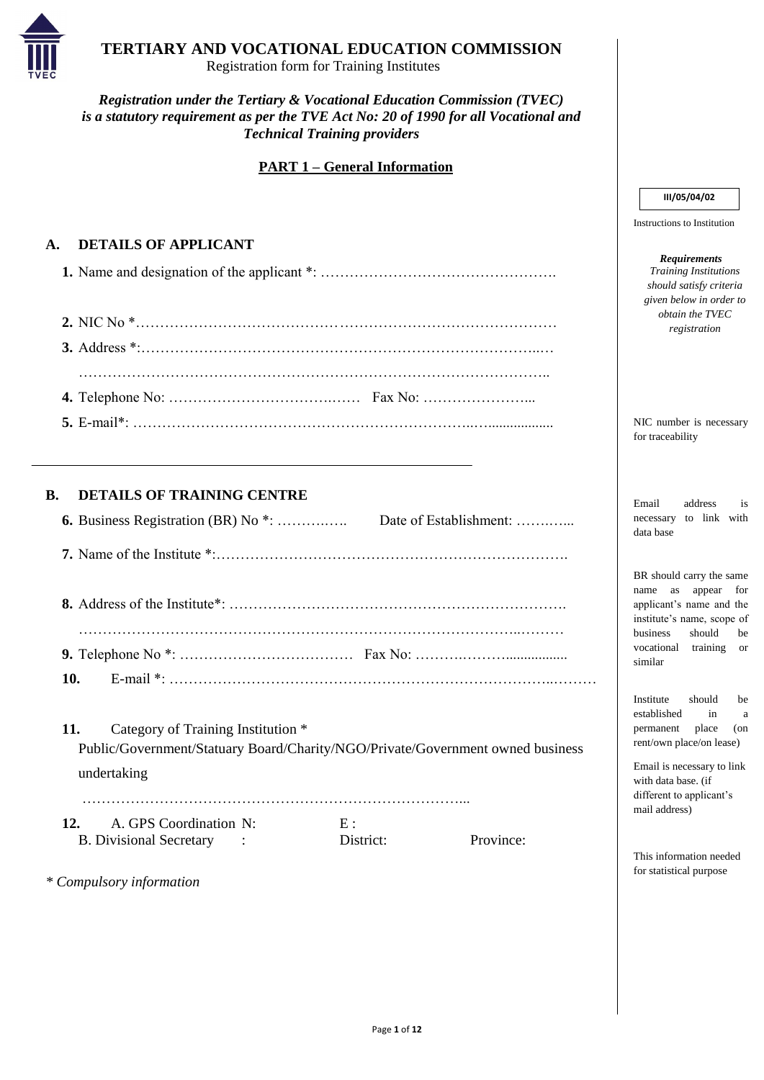Page **1** of **12**



# **TERTIARY AND VOCATIONAL EDUCATION COMMISSION**

Registration form for Training Institutes

*Registration under the Tertiary & Vocational Education Commission (TVEC) is a statutory requirement as per the TVE Act No: 20 of 1990 for all Vocational and Technical Training providers*

## **PART 1 – General Information**

## **A. DETAILS OF APPLICANT**

**12.** A. GPS Coordination N: E : B. Divisional Secretary : District: Province:

## **B. DETAILS OF TRAINING CENTRE**

**11.** Category of Training Institution \* Public/Government/Statuary Board/Charity/NGO/Private/Government owned business undertaking

……………………………………………………………………...

*\* Compulsory information*

Instructions to Institution

#### *Requirements Training Institutions should satisfy criteria given below in order to obtain the TVEC registration*

NIC number is necessary for traceability

Email address is necessary to link with data base

BR should carry the same name as appear for applicant's name and the institute's name, scope of business should be vocational training or similar

Institute should be established in a permanent place (on rent/own place/on lease)

Email is necessary to link with data base. (if different to applicant's mail address)

This information needed for statistical purpose

### **III/05/04/02**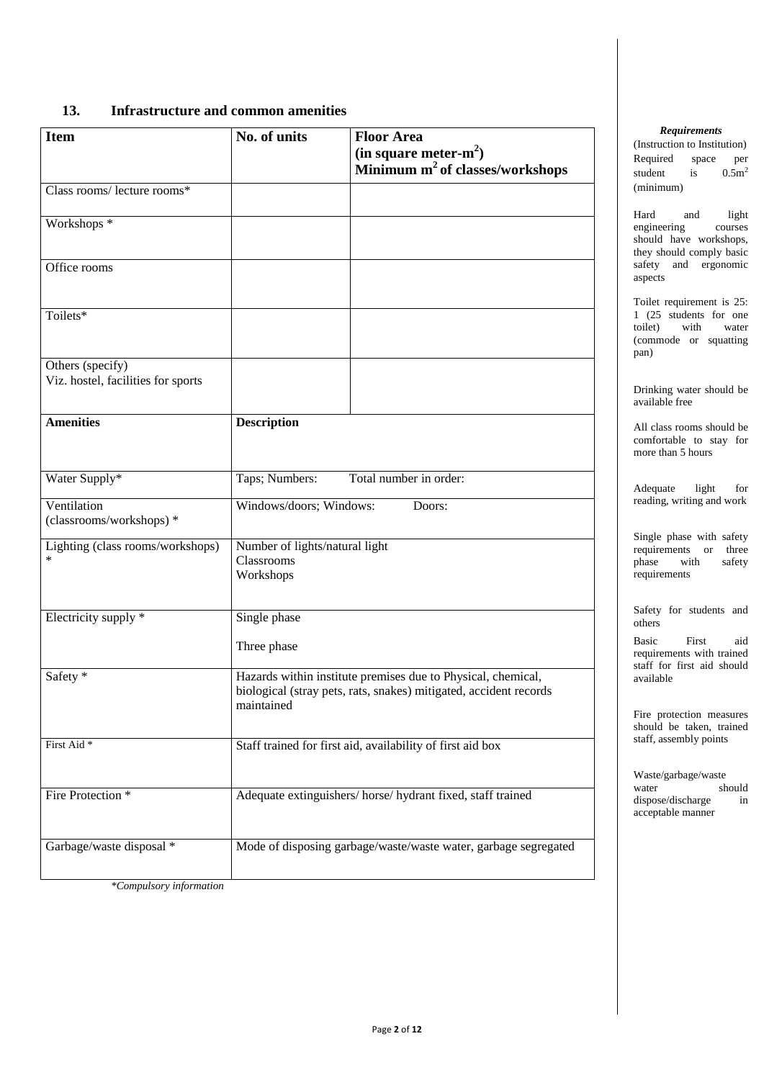Page **2** of **12**

## **13. Infrastructure and common amenities**

| <b>Item</b>                                            | No. of units                                              | <b>Floor Area</b><br>(in square meter- $m^2$ )                                                                                    |
|--------------------------------------------------------|-----------------------------------------------------------|-----------------------------------------------------------------------------------------------------------------------------------|
|                                                        |                                                           | Minimum m <sup>2</sup> of classes/workshops                                                                                       |
| Class rooms/ lecture rooms*                            |                                                           |                                                                                                                                   |
| Workshops *                                            |                                                           |                                                                                                                                   |
| Office rooms                                           |                                                           |                                                                                                                                   |
| Toilets*                                               |                                                           |                                                                                                                                   |
| Others (specify)<br>Viz. hostel, facilities for sports |                                                           |                                                                                                                                   |
| <b>Amenities</b>                                       | <b>Description</b>                                        |                                                                                                                                   |
| Water Supply*                                          | Taps; Numbers:                                            | Total number in order:                                                                                                            |
| Ventilation<br>(classrooms/workshops) *                | Windows/doors; Windows:                                   | Doors:                                                                                                                            |
| Lighting (class rooms/workshops)<br>$\ast$             | Number of lights/natural light<br>Classrooms<br>Workshops |                                                                                                                                   |
| Electricity supply *                                   | Single phase                                              |                                                                                                                                   |
|                                                        | Three phase                                               |                                                                                                                                   |
| Safety *                                               | maintained                                                | Hazards within institute premises due to Physical, chemical,<br>biological (stray pets, rats, snakes) mitigated, accident records |
| First Aid <sup>*</sup>                                 |                                                           | Staff trained for first aid, availability of first aid box                                                                        |
| Fire Protection *                                      |                                                           | Adequate extinguishers/horse/hydrant fixed, staff trained                                                                         |

| Garbage/waste disposal * | Mode of disposing garbage/waste/waste water, garbage segregated |
|--------------------------|-----------------------------------------------------------------|
|                          |                                                                 |

*\*Compulsory information*

#### *Requirements*

(Instruction to Institution) Required space per student is  $0.5m^2$ (minimum)

Hard and light engineering courses should have workshops, they should comply basic safety and ergonomic aspects

Toilet requirement is 25: 1 (25 students for one toilet) with water (commode or squatting pan)

Drinking water should be available free

All class rooms should be comfortable to stay for more than 5 hours

Adequate light for reading, writing and work

Single phase with safety requirements or three phase with safety requirements

Safety for students and others

Basic First aid requirements with trained staff for first aid should available

Fire protection measures should be taken, trained staff, assembly points

Waste/garbage/waste water should dispose/discharge in acceptable manner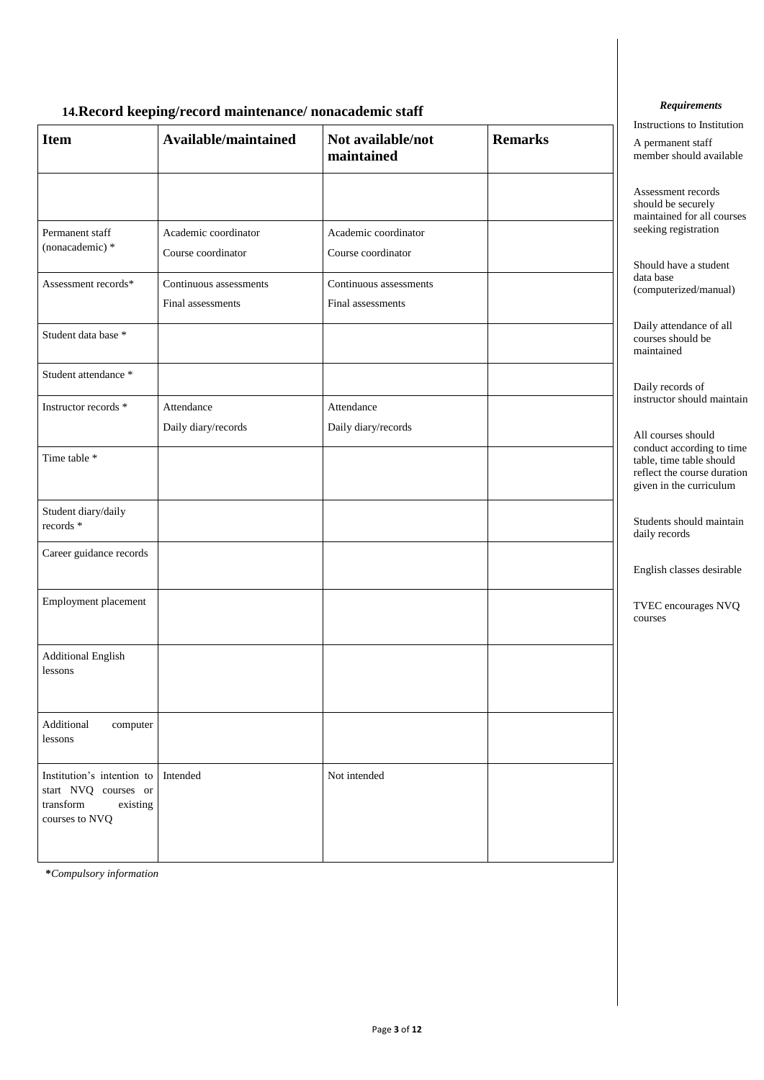Page **3** of **12**

## **14.Record keeping/record maintenance/ nonacademic staff**

- r

| <b>Item</b>                                                                                   | Available/maintained                        | Not available/not<br>maintained             | <b>Remarks</b> |  |  |
|-----------------------------------------------------------------------------------------------|---------------------------------------------|---------------------------------------------|----------------|--|--|
| Permanent staff                                                                               | Academic coordinator                        | Academic coordinator                        |                |  |  |
| (nonacademic) *                                                                               | Course coordinator                          | Course coordinator                          |                |  |  |
| Assessment records*                                                                           | Continuous assessments<br>Final assessments | Continuous assessments<br>Final assessments |                |  |  |
| Student data base *                                                                           |                                             |                                             |                |  |  |
| Student attendance *                                                                          |                                             |                                             |                |  |  |
| Instructor records *                                                                          | Attendance<br>Daily diary/records           | Attendance<br>Daily diary/records           |                |  |  |
| Time table *                                                                                  |                                             |                                             |                |  |  |
| Student diary/daily<br>records *                                                              |                                             |                                             |                |  |  |
| Career guidance records                                                                       |                                             |                                             |                |  |  |
| Employment placement                                                                          |                                             |                                             |                |  |  |
| Additional English<br>lessons                                                                 |                                             |                                             |                |  |  |
| Additional<br>computer<br>lessons                                                             |                                             |                                             |                |  |  |
| Institution's intention to<br>start NVQ courses or<br>transform<br>existing<br>courses to NVQ | Intended                                    | Not intended                                |                |  |  |

**\****Compulsory information*

#### *Requirements*

Instructions to Institution

A permanent staff member should available

Assessment records should be securely maintained for all courses seeking registration

Should have a student data base (computerized/manual)

Daily attendance of all courses should be maintained

Daily records of instructor should maintain

All courses should conduct according to time table, time table should reflect the course duration given in the curriculum

Students should maintain daily records

English classes desirable

TVEC encourages NVQ courses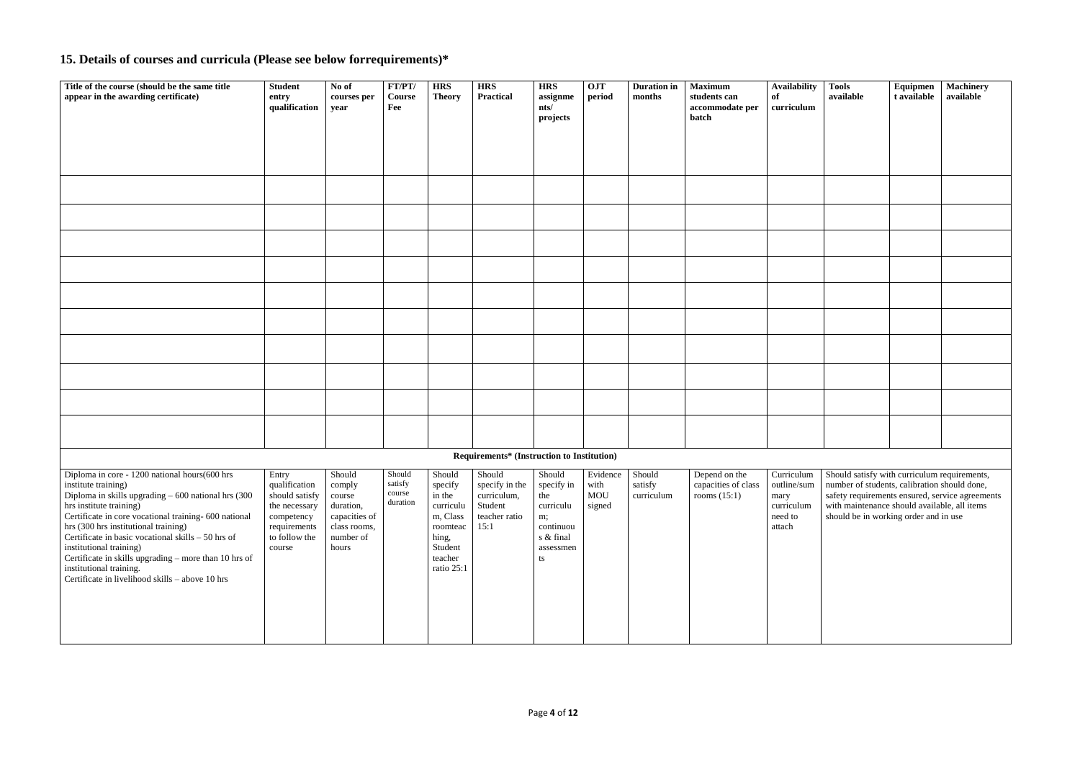| Title of the course (should be the same title<br>appear in the awarding certificate)                                                                                                                                                                                                                                                                                                                                                                                               | <b>Student</b><br>entry                                                                                            | No of<br>courses per                                                                           | FT/PT/<br>Course                        | <b>HRS</b><br><b>Theory</b>                                                                        | <b>HRS</b><br>Practical                                                                            | <b>HRS</b><br>assignme                                                        | <b>OJT</b><br>period              | <b>Duration in</b><br>months    | <b>Maximum</b><br>students can                                                                                      | <b>Availability</b><br>of               | <b>Tools</b><br>available                                                                                                                                                                             | Equipmen<br>t available | <b>Machinery</b><br>available |
|------------------------------------------------------------------------------------------------------------------------------------------------------------------------------------------------------------------------------------------------------------------------------------------------------------------------------------------------------------------------------------------------------------------------------------------------------------------------------------|--------------------------------------------------------------------------------------------------------------------|------------------------------------------------------------------------------------------------|-----------------------------------------|----------------------------------------------------------------------------------------------------|----------------------------------------------------------------------------------------------------|-------------------------------------------------------------------------------|-----------------------------------|---------------------------------|---------------------------------------------------------------------------------------------------------------------|-----------------------------------------|-------------------------------------------------------------------------------------------------------------------------------------------------------------------------------------------------------|-------------------------|-------------------------------|
|                                                                                                                                                                                                                                                                                                                                                                                                                                                                                    | qualification                                                                                                      | year                                                                                           | Fee                                     |                                                                                                    |                                                                                                    | nts/                                                                          |                                   |                                 | accommodate per<br>batch                                                                                            | curriculum                              |                                                                                                                                                                                                       |                         |                               |
|                                                                                                                                                                                                                                                                                                                                                                                                                                                                                    |                                                                                                                    |                                                                                                |                                         |                                                                                                    |                                                                                                    | projects                                                                      |                                   |                                 |                                                                                                                     |                                         |                                                                                                                                                                                                       |                         |                               |
|                                                                                                                                                                                                                                                                                                                                                                                                                                                                                    |                                                                                                                    |                                                                                                |                                         |                                                                                                    |                                                                                                    |                                                                               |                                   |                                 |                                                                                                                     |                                         |                                                                                                                                                                                                       |                         |                               |
|                                                                                                                                                                                                                                                                                                                                                                                                                                                                                    |                                                                                                                    |                                                                                                |                                         |                                                                                                    |                                                                                                    |                                                                               |                                   |                                 |                                                                                                                     |                                         |                                                                                                                                                                                                       |                         |                               |
|                                                                                                                                                                                                                                                                                                                                                                                                                                                                                    |                                                                                                                    |                                                                                                |                                         |                                                                                                    |                                                                                                    |                                                                               |                                   |                                 |                                                                                                                     |                                         |                                                                                                                                                                                                       |                         |                               |
|                                                                                                                                                                                                                                                                                                                                                                                                                                                                                    |                                                                                                                    |                                                                                                |                                         |                                                                                                    |                                                                                                    |                                                                               |                                   |                                 |                                                                                                                     |                                         |                                                                                                                                                                                                       |                         |                               |
|                                                                                                                                                                                                                                                                                                                                                                                                                                                                                    |                                                                                                                    |                                                                                                |                                         |                                                                                                    |                                                                                                    |                                                                               |                                   |                                 |                                                                                                                     |                                         |                                                                                                                                                                                                       |                         |                               |
|                                                                                                                                                                                                                                                                                                                                                                                                                                                                                    |                                                                                                                    |                                                                                                |                                         |                                                                                                    |                                                                                                    |                                                                               |                                   |                                 |                                                                                                                     |                                         |                                                                                                                                                                                                       |                         |                               |
|                                                                                                                                                                                                                                                                                                                                                                                                                                                                                    |                                                                                                                    |                                                                                                |                                         |                                                                                                    |                                                                                                    |                                                                               |                                   |                                 |                                                                                                                     |                                         |                                                                                                                                                                                                       |                         |                               |
|                                                                                                                                                                                                                                                                                                                                                                                                                                                                                    |                                                                                                                    |                                                                                                |                                         |                                                                                                    |                                                                                                    |                                                                               |                                   |                                 |                                                                                                                     |                                         |                                                                                                                                                                                                       |                         |                               |
|                                                                                                                                                                                                                                                                                                                                                                                                                                                                                    |                                                                                                                    |                                                                                                |                                         |                                                                                                    |                                                                                                    |                                                                               |                                   |                                 |                                                                                                                     |                                         |                                                                                                                                                                                                       |                         |                               |
|                                                                                                                                                                                                                                                                                                                                                                                                                                                                                    |                                                                                                                    |                                                                                                |                                         |                                                                                                    |                                                                                                    |                                                                               |                                   |                                 |                                                                                                                     |                                         |                                                                                                                                                                                                       |                         |                               |
|                                                                                                                                                                                                                                                                                                                                                                                                                                                                                    |                                                                                                                    |                                                                                                |                                         |                                                                                                    |                                                                                                    |                                                                               |                                   |                                 |                                                                                                                     |                                         |                                                                                                                                                                                                       |                         |                               |
|                                                                                                                                                                                                                                                                                                                                                                                                                                                                                    |                                                                                                                    |                                                                                                |                                         |                                                                                                    |                                                                                                    |                                                                               |                                   |                                 |                                                                                                                     |                                         |                                                                                                                                                                                                       |                         |                               |
|                                                                                                                                                                                                                                                                                                                                                                                                                                                                                    |                                                                                                                    |                                                                                                |                                         |                                                                                                    | Requirements* (Instruction to Institution)                                                         |                                                                               |                                   |                                 |                                                                                                                     |                                         |                                                                                                                                                                                                       |                         |                               |
| Diploma in core - 1200 national hours (600 hrs<br>institute training)<br>Diploma in skills upgrading $-600$ national hrs (300<br>hrs institute training)<br>Certificate in core vocational training- 600 national<br>hrs (300 hrs institutional training)<br>Certificate in basic vocational skills $-50$ hrs of<br>institutional training)<br>Certificate in skills upgrading – more than 10 hrs of<br>institutional training.<br>Certificate in livelihood skills - above 10 hrs | Entry<br>qualification<br>should satisfy<br>the necessary<br>competency<br>requirements<br>to follow the<br>course | Should<br>comply<br>course<br>duration,<br>capacities of<br>class rooms,<br>number of<br>hours | Should<br>satisfy<br>course<br>duration | Should<br>in the<br>curriculu<br>m, Class<br>roomteac<br>hing,<br>Student<br>teacher<br>ratio 25:1 | Should<br>specify   specify in the   specify in<br>curriculum,<br>Student<br>teacher ratio<br>15:1 | Should<br>the<br>curriculu<br>m;<br>continuou<br>s & final<br>assessmen<br>ts | Evidence<br>with<br>MOU<br>signed | Should<br>satisfy<br>curriculum | Depend on the<br>capacities of class   outline/sum   number of students, calibration should done,<br>rooms $(15:1)$ | mary<br>curriculum<br>need to<br>attach | Curriculum   Should satisfy with curriculum requirements,<br>safety requirements ensured, service agreements<br>with maintenance should available, all items<br>should be in working order and in use |                         |                               |

# **15. Details of courses and curricula (Please see below forrequirements)\***